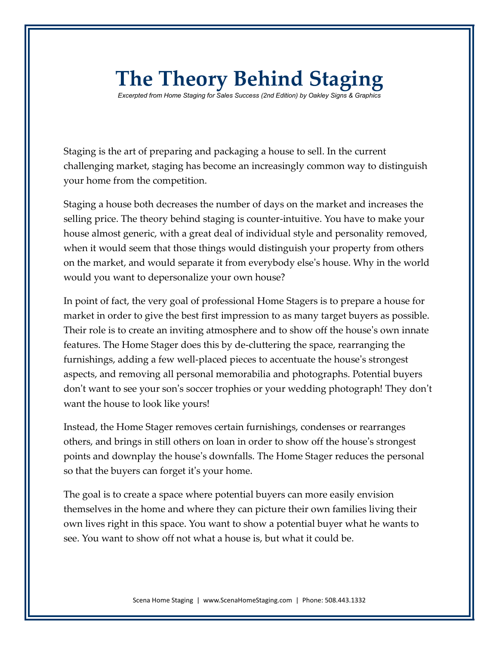## **The Theory Behind Staging**

*Excerpted from Home Staging for Sales Success (2nd Edition) by Oakley Signs & Graphics*

Staging is the art of preparing and packaging a house to sell. In the current challenging market, staging has become an increasingly common way to distinguish your home from the competition.

Staging a house both decreases the number of days on the market and increases the selling price. The theory behind staging is counter-intuitive. You have to make your house almost generic, with a great deal of individual style and personality removed, when it would seem that those things would distinguish your property from others on the market, and would separate it from everybody else's house. Why in the world would you want to depersonalize your own house?

In point of fact, the very goal of professional Home Stagers is to prepare a house for market in order to give the best first impression to as many target buyers as possible. Their role is to create an inviting atmosphere and to show off the house's own innate features. The Home Stager does this by de-cluttering the space, rearranging the furnishings, adding a few well-placed pieces to accentuate the house's strongest aspects, and removing all personal memorabilia and photographs. Potential buyers don't want to see your son's soccer trophies or your wedding photograph! They don't want the house to look like yours!

Instead, the Home Stager removes certain furnishings, condenses or rearranges others, and brings in still others on loan in order to show off the house's strongest points and downplay the house's downfalls. The Home Stager reduces the personal so that the buyers can forget it's your home.

The goal is to create a space where potential buyers can more easily envision themselves in the home and where they can picture their own families living their own lives right in this space. You want to show a potential buyer what he wants to see. You want to show off not what a house is, but what it could be.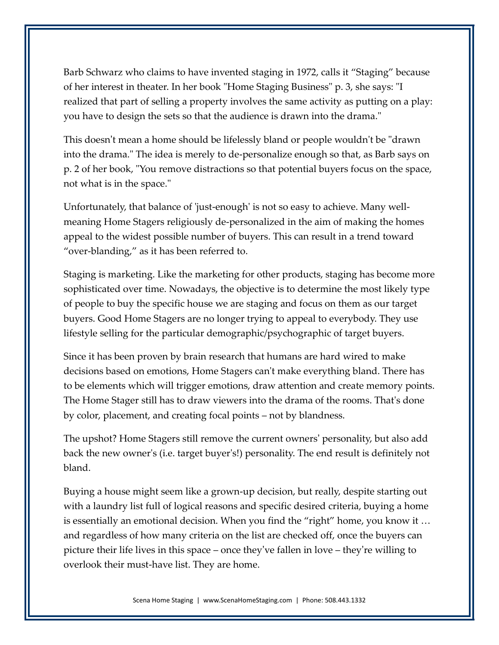Barb Schwarz who claims to have invented staging in 1972, calls it "Staging" because of her interest in theater. In her book "Home Staging Business" p. 3, she says: "I realized that part of selling a property involves the same activity as putting on a play: you have to design the sets so that the audience is drawn into the drama."

This doesn't mean a home should be lifelessly bland or people wouldn't be "drawn into the drama." The idea is merely to de-personalize enough so that, as Barb says on p. 2 of her book, "You remove distractions so that potential buyers focus on the space, not what is in the space."

Unfortunately, that balance of 'just-enough' is not so easy to achieve. Many wellmeaning Home Stagers religiously de-personalized in the aim of making the homes appeal to the widest possible number of buyers. This can result in a trend toward "over-blanding," as it has been referred to.

Staging is marketing. Like the marketing for other products, staging has become more sophisticated over time. Nowadays, the objective is to determine the most likely type of people to buy the specific house we are staging and focus on them as our target buyers. Good Home Stagers are no longer trying to appeal to everybody. They use lifestyle selling for the particular demographic/psychographic of target buyers.

Since it has been proven by brain research that humans are hard wired to make decisions based on emotions, Home Stagers can't make everything bland. There has to be elements which will trigger emotions, draw attention and create memory points. The Home Stager still has to draw viewers into the drama of the rooms. That's done by color, placement, and creating focal points – not by blandness.

The upshot? Home Stagers still remove the current owners' personality, but also add back the new owner's (i.e. target buyer's!) personality. The end result is definitely not bland.

Buying a house might seem like a grown-up decision, but really, despite starting out with a laundry list full of logical reasons and specific desired criteria, buying a home is essentially an emotional decision. When you find the "right" home, you know it … and regardless of how many criteria on the list are checked off, once the buyers can picture their life lives in this space – once they've fallen in love – they're willing to overlook their must-have list. They are home.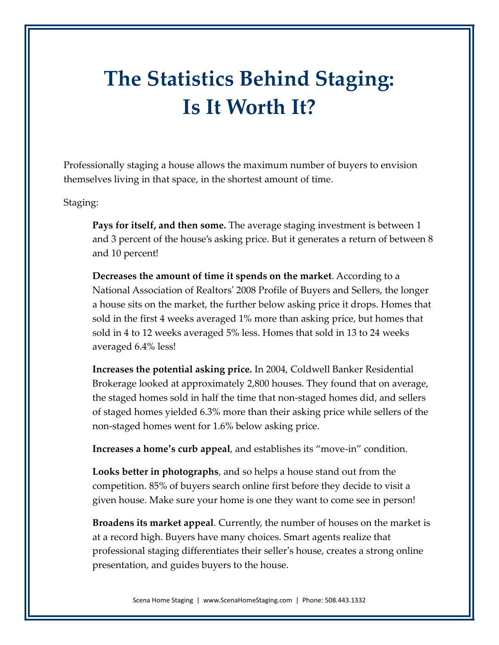## **The Statistics Behind Staging: Is It Worth It?**

Professionally staging a house allows the maximum number of buyers to envision themselves living in that space, in the shortest amount of time.

Staging:

**Pays for itself, and then some.** The average staging investment is between 1 and 3 percent of the house's asking price. But it generates a return of between 8 and 10 percent!

**Decreases the amount of time it spends on the market**. According to a National Association of Realtors' 2008 Profile of Buyers and Sellers, the longer a house sits on the market, the further below asking price it drops. Homes that sold in the first 4 weeks averaged 1% more than asking price, but homes that sold in 4 to 12 weeks averaged 5% less. Homes that sold in 13 to 24 weeks averaged 6.4% less!

**Increases the potential asking price.** In 2004, Coldwell Banker Residential Brokerage looked at approximately 2,800 houses. They found that on average, the staged homes sold in half the time that non-staged homes did, and sellers of staged homes yielded 6.3% more than their asking price while sellers of the non-staged homes went for 1.6% below asking price.

**Increases a home's curb appeal**, and establishes its "move-in" condition.

**Looks better in photographs**, and so helps a house stand out from the competition. 85% of buyers search online first before they decide to visit a given house. Make sure your home is one they want to come see in person!

**Broadens its market appeal**. Currently, the number of houses on the market is at a record high. Buyers have many choices. Smart agents realize that professional staging differentiates their seller's house, creates a strong online presentation, and guides buyers to the house.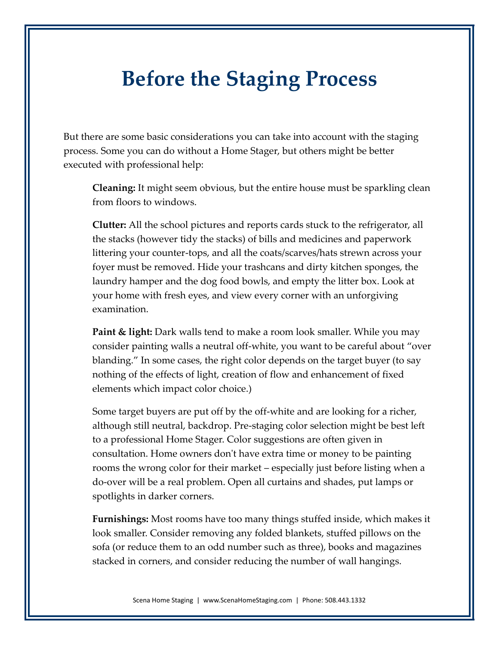## **Before the Staging Process**

But there are some basic considerations you can take into account with the staging process. Some you can do without a Home Stager, but others might be better executed with professional help:

**Cleaning:** It might seem obvious, but the entire house must be sparkling clean from floors to windows.

**Clutter:** All the school pictures and reports cards stuck to the refrigerator, all the stacks (however tidy the stacks) of bills and medicines and paperwork littering your counter-tops, and all the coats/scarves/hats strewn across your foyer must be removed. Hide your trashcans and dirty kitchen sponges, the laundry hamper and the dog food bowls, and empty the litter box. Look at your home with fresh eyes, and view every corner with an unforgiving examination.

**Paint & light:** Dark walls tend to make a room look smaller. While you may consider painting walls a neutral off-white, you want to be careful about "over blanding." In some cases, the right color depends on the target buyer (to say nothing of the effects of light, creation of flow and enhancement of fixed elements which impact color choice.)

Some target buyers are put off by the off-white and are looking for a richer, although still neutral, backdrop. Pre-staging color selection might be best left to a professional Home Stager. Color suggestions are often given in consultation. Home owners don't have extra time or money to be painting rooms the wrong color for their market – especially just before listing when a do-over will be a real problem. Open all curtains and shades, put lamps or spotlights in darker corners.

**Furnishings:** Most rooms have too many things stuffed inside, which makes it look smaller. Consider removing any folded blankets, stuffed pillows on the sofa (or reduce them to an odd number such as three), books and magazines stacked in corners, and consider reducing the number of wall hangings.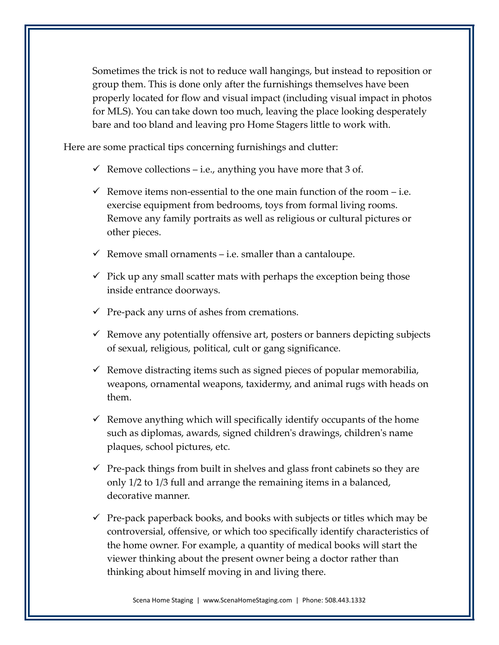Sometimes the trick is not to reduce wall hangings, but instead to reposition or group them. This is done only after the furnishings themselves have been properly located for flow and visual impact (including visual impact in photos for MLS). You can take down too much, leaving the place looking desperately bare and too bland and leaving pro Home Stagers little to work with.

Here are some practical tips concerning furnishings and clutter:

- $\checkmark$  Remove collections i.e., anything you have more that 3 of.
- $\checkmark$  Remove items non-essential to the one main function of the room i.e. exercise equipment from bedrooms, toys from formal living rooms. Remove any family portraits as well as religious or cultural pictures or other pieces.
- $\checkmark$  Remove small ornaments i.e. smaller than a cantaloupe.
- $\checkmark$  Pick up any small scatter mats with perhaps the exception being those inside entrance doorways.
- $\checkmark$  Pre-pack any urns of ashes from cremations.
- $\checkmark$  Remove any potentially offensive art, posters or banners depicting subjects of sexual, religious, political, cult or gang significance.
- $\checkmark$  Remove distracting items such as signed pieces of popular memorabilia, weapons, ornamental weapons, taxidermy, and animal rugs with heads on them.
- $\checkmark$  Remove anything which will specifically identify occupants of the home such as diplomas, awards, signed children's drawings, children's name plaques, school pictures, etc.
- $\checkmark$  Pre-pack things from built in shelves and glass front cabinets so they are only 1/2 to 1/3 full and arrange the remaining items in a balanced, decorative manner.
- $\checkmark$  Pre-pack paperback books, and books with subjects or titles which may be controversial, offensive, or which too specifically identify characteristics of the home owner. For example, a quantity of medical books will start the viewer thinking about the present owner being a doctor rather than thinking about himself moving in and living there.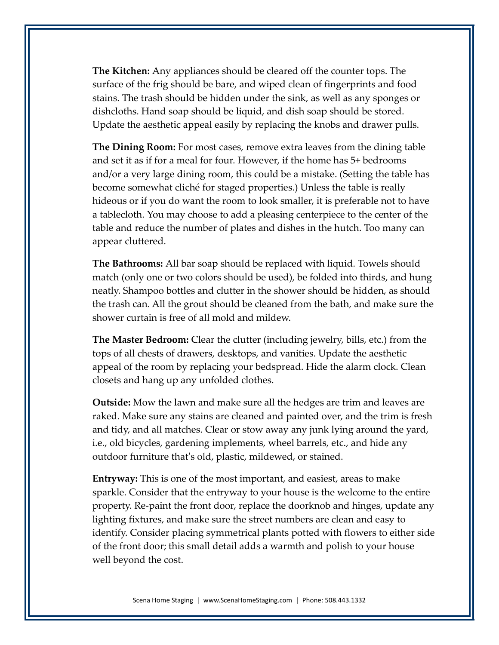**The Kitchen:** Any appliances should be cleared off the counter tops. The surface of the frig should be bare, and wiped clean of fingerprints and food stains. The trash should be hidden under the sink, as well as any sponges or dishcloths. Hand soap should be liquid, and dish soap should be stored. Update the aesthetic appeal easily by replacing the knobs and drawer pulls.

**The Dining Room:** For most cases, remove extra leaves from the dining table and set it as if for a meal for four. However, if the home has 5+ bedrooms and/or a very large dining room, this could be a mistake. (Setting the table has become somewhat cliché for staged properties.) Unless the table is really hideous or if you do want the room to look smaller, it is preferable not to have a tablecloth. You may choose to add a pleasing centerpiece to the center of the table and reduce the number of plates and dishes in the hutch. Too many can appear cluttered.

**The Bathrooms:** All bar soap should be replaced with liquid. Towels should match (only one or two colors should be used), be folded into thirds, and hung neatly. Shampoo bottles and clutter in the shower should be hidden, as should the trash can. All the grout should be cleaned from the bath, and make sure the shower curtain is free of all mold and mildew.

**The Master Bedroom:** Clear the clutter (including jewelry, bills, etc.) from the tops of all chests of drawers, desktops, and vanities. Update the aesthetic appeal of the room by replacing your bedspread. Hide the alarm clock. Clean closets and hang up any unfolded clothes.

**Outside:** Mow the lawn and make sure all the hedges are trim and leaves are raked. Make sure any stains are cleaned and painted over, and the trim is fresh and tidy, and all matches. Clear or stow away any junk lying around the yard, i.e., old bicycles, gardening implements, wheel barrels, etc., and hide any outdoor furniture that's old, plastic, mildewed, or stained.

**Entryway:** This is one of the most important, and easiest, areas to make sparkle. Consider that the entryway to your house is the welcome to the entire property. Re-paint the front door, replace the doorknob and hinges, update any lighting fixtures, and make sure the street numbers are clean and easy to identify. Consider placing symmetrical plants potted with flowers to either side of the front door; this small detail adds a warmth and polish to your house well beyond the cost.